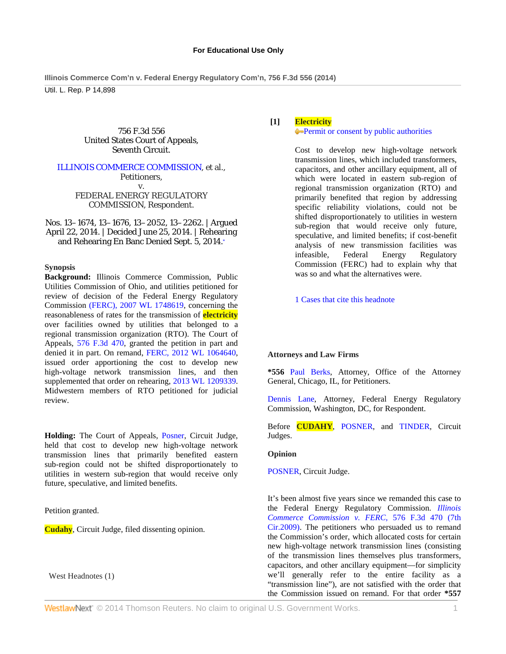Util. L. Rep. P 14,898

756 F.3d 556 United States Court of Appeals, Seventh Circuit.

#### [ILLINOIS COMMERCE COMMISSION,](http://www.westlaw.com/Search/Results.html?query=advanced%3a+OAID(5009348121)&saveJuris=False&contentType=BUSINESS-INVESTIGATOR&startIndex=1&contextData=(sc.Default)&categoryPageUrl=Home%2fCompanyInvestigator&originationContext=document&vr=3.0&rs=cblt1.0&transitionType=DocumentItem) et al.,

Petitioners, v. FEDERAL ENERGY REGULATORY COMMISSION, Respondent.

Nos. 13–1674, 13–1676, 13–2052, 13–2262. | Argued April 22, 2014. | Decided June 25, 2014. | Rehearing and Rehearing En Banc Denied Sept. 5, 2014.\*

#### **Synopsis**

**Background:** Illinois Commerce Commission, Public Utilities Commission of Ohio, and utilities petitioned for review of decision of the Federal Energy Regulatory Commission [\(FERC\), 2007 WL 1748619,](http://www.westlaw.com/Link/Document/FullText?findType=Y&serNum=2012505430&pubNum=0000999&originationContext=document&vr=3.0&rs=cblt1.0&transitionType=DocumentItem&contextData=(sc.Search)) concerning the reasonableness of rates for the transmission of **electricity** over facilities owned by utilities that belonged to a regional transmission organization (RTO). The Court of Appeals, [576 F.3d 470,](http://www.westlaw.com/Link/Document/FullText?findType=Y&serNum=2019550254&pubNum=0000506&originationContext=document&vr=3.0&rs=cblt1.0&transitionType=DocumentItem&contextData=(sc.Search)) granted the petition in part and denied it in part. On remand, [FERC, 2012 WL 1064640,](http://www.westlaw.com/Link/Document/FullText?findType=Y&serNum=2027413487&pubNum=0000999&originationContext=document&vr=3.0&rs=cblt1.0&transitionType=DocumentItem&contextData=(sc.Search))  issued order apportioning the cost to develop new high-voltage network transmission lines, and then supplemented that order on rehearing, [2013 WL 1209339.](http://www.westlaw.com/Link/Document/FullText?findType=Y&serNum=2030222200&pubNum=0000999&originationContext=document&vr=3.0&rs=cblt1.0&transitionType=DocumentItem&contextData=(sc.Search))  Midwestern members of RTO petitioned for judicial review.

**Holding:** The Court of Appeals, [Posner,](http://www.westlaw.com/Link/Document/FullText?findType=h&pubNum=176284&cite=0258143701&originatingDoc=I81fec7effccd11e39488c8f438320c70&refType=RQ&originationContext=document&vr=3.0&rs=cblt1.0&transitionType=DocumentItem&contextData=(sc.Search)) Circuit Judge, held that cost to develop new high-voltage network transmission lines that primarily benefited eastern sub-region could not be shifted disproportionately to utilities in western sub-region that would receive only future, speculative, and limited benefits.

Petition granted.

**[Cudahy](http://www.westlaw.com/Link/Document/FullText?findType=h&pubNum=176284&cite=0181684701&originatingDoc=I81fec7effccd11e39488c8f438320c70&refType=RQ&originationContext=document&vr=3.0&rs=cblt1.0&transitionType=DocumentItem&contextData=(sc.Search))**, Circuit Judge, filed dissenting opinion.

### West Headnotes (1)

## **[1] [Electricity](http://www.westlaw.com/Browse/Home/KeyNumber/145/View.html?docGuid=I81fec7effccd11e39488c8f438320c70&originationContext=document&vr=3.0&rs=cblt1.0&transitionType=DocumentItem&contextData=(sc.Search))**

#### **[Permit or consent by public authorities](http://www.westlaw.com/Browse/Home/KeyNumber/145k9(2)/View.html?docGuid=I81fec7effccd11e39488c8f438320c70&originationContext=document&vr=3.0&rs=cblt1.0&transitionType=DocumentItem&contextData=(sc.Search))**

Cost to develop new high-voltage network transmission lines, which included transformers, capacitors, and other ancillary equipment, all of which were located in eastern sub-region of regional transmission organization (RTO) and primarily benefited that region by addressing specific reliability violations, could not be shifted disproportionately to utilities in western sub-region that would receive only future, speculative, and limited benefits; if cost-benefit analysis of new transmission facilities was infeasible, Federal Energy Regulatory Commission (FERC) had to explain why that was so and what the alternatives were.

# [1 Cases that cite this headnote](http://www.westlaw.com/Link/RelatedInformation/DocHeadnoteLink?docGuid=I81fec7effccd11e39488c8f438320c70&headnoteId=203367588700120141015205637&originationContext=document&vr=3.0&rs=cblt1.0&transitionType=CitingReferences&contextData=(sc.Search))

### **Attorneys and Law Firms**

**\*556** [Paul Berks,](http://www.westlaw.com/Link/Document/FullText?findType=h&pubNum=176284&cite=0403806601&originatingDoc=I81fec7effccd11e39488c8f438320c70&refType=RQ&originationContext=document&vr=3.0&rs=cblt1.0&transitionType=DocumentItem&contextData=(sc.Search)) Attorney, Office of the Attorney General, Chicago, IL, for Petitioners.

[Dennis Lane,](http://www.westlaw.com/Link/Document/FullText?findType=h&pubNum=176284&cite=0368666401&originatingDoc=I81fec7effccd11e39488c8f438320c70&refType=RQ&originationContext=document&vr=3.0&rs=cblt1.0&transitionType=DocumentItem&contextData=(sc.Search)) Attorney, Federal Energy Regulatory Commission, Washington, DC, for Respondent.

Before **[CUDAHY](http://www.westlaw.com/Link/Document/FullText?findType=h&pubNum=176284&cite=0181684701&originatingDoc=I81fec7effccd11e39488c8f438320c70&refType=RQ&originationContext=document&vr=3.0&rs=cblt1.0&transitionType=DocumentItem&contextData=(sc.Search))**, [POSNER,](http://www.westlaw.com/Link/Document/FullText?findType=h&pubNum=176284&cite=0258143701&originatingDoc=I81fec7effccd11e39488c8f438320c70&refType=RQ&originationContext=document&vr=3.0&rs=cblt1.0&transitionType=DocumentItem&contextData=(sc.Search)) and [TINDER,](http://www.westlaw.com/Link/Document/FullText?findType=h&pubNum=176284&cite=0162273501&originatingDoc=I81fec7effccd11e39488c8f438320c70&refType=RQ&originationContext=document&vr=3.0&rs=cblt1.0&transitionType=DocumentItem&contextData=(sc.Search)) Circuit Judges.

### **Opinion**

[POSNER,](http://www.westlaw.com/Link/Document/FullText?findType=h&pubNum=176284&cite=0258143701&originatingDoc=I81fec7effccd11e39488c8f438320c70&refType=RQ&originationContext=document&vr=3.0&rs=cblt1.0&transitionType=DocumentItem&contextData=(sc.Search)) Circuit Judge.

It's been almost five years since we remanded this case to the Federal Energy Regulatory Commission. *[Illinois](http://www.westlaw.com/Link/Document/FullText?findType=Y&serNum=2019550254&pubNum=0000506&originationContext=document&vr=3.0&rs=cblt1.0&transitionType=DocumentItem&contextData=(sc.Search))  [Commerce Commission v. FERC,](http://www.westlaw.com/Link/Document/FullText?findType=Y&serNum=2019550254&pubNum=0000506&originationContext=document&vr=3.0&rs=cblt1.0&transitionType=DocumentItem&contextData=(sc.Search))* 576 F.3d 470 (7th [Cir.2009\).](http://www.westlaw.com/Link/Document/FullText?findType=Y&serNum=2019550254&pubNum=0000506&originationContext=document&vr=3.0&rs=cblt1.0&transitionType=DocumentItem&contextData=(sc.Search)) The petitioners who persuaded us to remand the Commission's order, which allocated costs for certain new high-voltage network transmission lines (consisting of the transmission lines themselves plus transformers, capacitors, and other ancillary equipment—for simplicity we'll generally refer to the entire facility as a "transmission line"), are not satisfied with the order that the Commission issued on remand. For that order **\*557**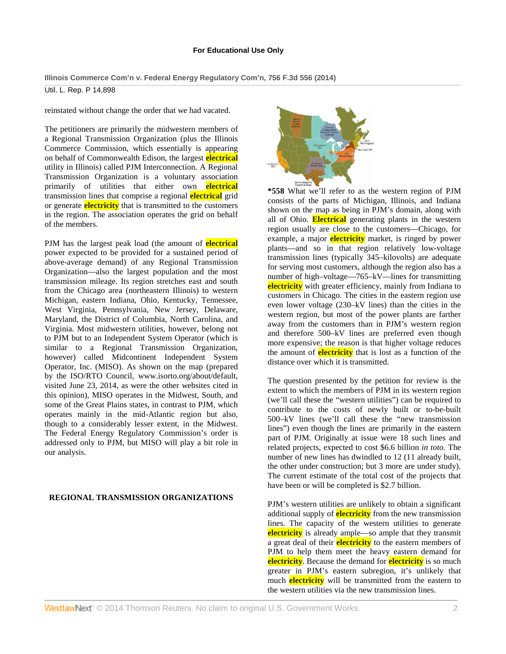Util. L. Rep. P 14,898

reinstated without change the order that we had vacated.

The petitioners are primarily the midwestern members of a Regional Transmission Organization (plus the Illinois Commerce Commission, which essentially is appearing on behalf of Commonwealth Edison, the largest **electrical** utility in Illinois) called PJM Interconnection. A Regional Transmission Organization is a voluntary association primarily of utilities that either own **electrical** transmission lines that comprise a regional **electrical** grid or generate **electricity** that is transmitted to the customers in the region. The association operates the grid on behalf of the members.

PJM has the largest peak load (the amount of **electrical** power expected to be provided for a sustained period of above-average demand) of any Regional Transmission Organization—also the largest population and the most transmission mileage. Its region stretches east and south from the Chicago area (northeastern Illinois) to western Michigan, eastern Indiana, Ohio, Kentucky, Tennessee, West Virginia, Pennsylvania, New Jersey, Delaware, Maryland, the District of Columbia, North Carolina, and Virginia. Most midwestern utilities, however, belong not to PJM but to an Independent System Operator (which is similar to a Regional Transmission Organization, however) called Midcontinent Independent System Operator, Inc. (MISO). As shown on the map (prepared by the ISO/RTO Council, www.isorto.org/about/default, visited June 23, 2014, as were the other websites cited in this opinion), MISO operates in the Midwest, South, and some of the Great Plains states, in contrast to PJM, which operates mainly in the mid-Atlantic region but also, though to a considerably lesser extent, in the Midwest. The Federal Energy Regulatory Commission's order is addressed only to PJM, but MISO will play a bit role in our analysis.

#### **REGIONAL TRANSMISSION ORGANIZATIONS**



**\*558** What we'll refer to as the western region of PJM consists of the parts of Michigan, Illinois, and Indiana shown on the map as being in PJM's domain, along with all of Ohio. **Electrical** generating plants in the western region usually are close to the customers—Chicago, for example, a major **electricity** market, is ringed by power plants—and so in that region relatively low-voltage transmission lines (typically 345–kilovolts) are adequate for serving most customers, although the region also has a number of high–voltage—765–kV—lines for transmitting **electricity** with greater efficiency, mainly from Indiana to customers in Chicago. The cities in the eastern region use even lower voltage (230–kV lines) than the cities in the western region, but most of the power plants are farther away from the customers than in PJM's western region and therefore 500–kV lines are preferred even though more expensive; the reason is that higher voltage reduces the amount of **electricity** that is lost as a function of the distance over which it is transmitted.

The question presented by the petition for review is the extent to which the members of PJM in its western region (we'll call these the "western utilities") can be required to contribute to the costs of newly built or to-be-built 500–kV lines (we'll call these the "new transmission lines") even though the lines are primarily in the eastern part of PJM. Originally at issue were 18 such lines and related projects, expected to cost \$6.6 billion *in toto.* The number of new lines has dwindled to 12 (11 already built, the other under construction; but 3 more are under study). The current estimate of the total cost of the projects that have been or will be completed is \$2.7 billion.

PJM's western utilities are unlikely to obtain a significant additional supply of **electricity** from the new transmission lines. The capacity of the western utilities to generate **electricity** is already ample—so ample that they transmit a great deal of their **electricity** to the eastern members of PJM to help them meet the heavy eastern demand for **electricity**. Because the demand for **electricity** is so much greater in PJM's eastern subregion, it's unlikely that much **electricity** will be transmitted from the eastern to the western utilities via the new transmission lines.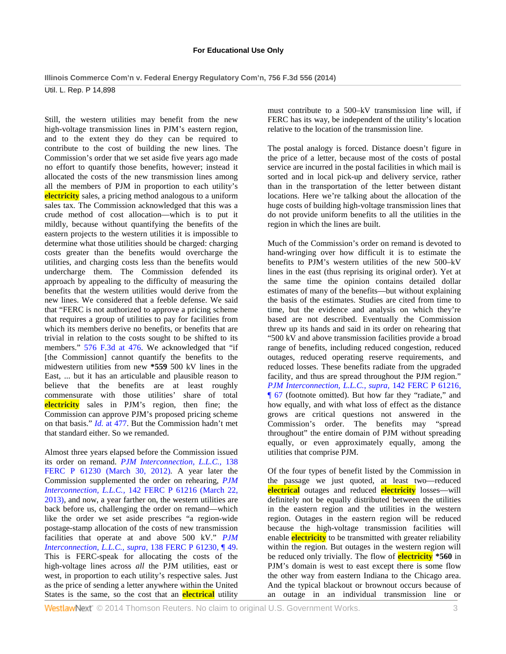Util. L. Rep. P 14,898

Still, the western utilities may benefit from the new high-voltage transmission lines in PJM's eastern region, and to the extent they do they can be required to contribute to the cost of building the new lines. The Commission's order that we set aside five years ago made no effort to quantify those benefits, however; instead it allocated the costs of the new transmission lines among all the members of PJM in proportion to each utility's **electricity** sales, a pricing method analogous to a uniform sales tax. The Commission acknowledged that this was a crude method of cost allocation—which is to put it mildly, because without quantifying the benefits of the eastern projects to the western utilities it is impossible to determine what those utilities should be charged: charging costs greater than the benefits would overcharge the utilities, and charging costs less than the benefits would undercharge them. The Commission defended its approach by appealing to the difficulty of measuring the benefits that the western utilities would derive from the new lines. We considered that a feeble defense. We said that "FERC is not authorized to approve a pricing scheme that requires a group of utilities to pay for facilities from which its members derive no benefits, or benefits that are trivial in relation to the costs sought to be shifted to its members." [576 F.3d at 476.](http://www.westlaw.com/Link/Document/FullText?findType=Y&serNum=2019550254&pubNum=0000506&fi=co_pp_sp_506_476&originationContext=document&vr=3.0&rs=cblt1.0&transitionType=DocumentItem&contextData=(sc.Search)%23co_pp_sp_506_476) We acknowledged that "if [the Commission] cannot quantify the benefits to the midwestern utilities from new **\*559** 500 kV lines in the East, ... but it has an articulable and plausible reason to believe that the benefits are at least roughly commensurate with those utilities' share of total **electricity** sales in PJM's region, then fine; the Commission can approve PJM's proposed pricing scheme on that basis." *Id.* [at 477.](http://www.westlaw.com/Link/Document/FullText?findType=Y&serNum=2019550254&pubNum=0000506&fi=co_pp_sp_506_477&originationContext=document&vr=3.0&rs=cblt1.0&transitionType=DocumentItem&contextData=(sc.Search)%23co_pp_sp_506_477) But the Commission hadn't met that standard either. So we remanded.

Almost three years elapsed before the Commission issued its order on remand. *[PJM Interconnection, L.L.C.,](http://www.westlaw.com/Link/Document/FullText?findType=Y&serNum=2027413487&pubNum=0000920&originationContext=document&vr=3.0&rs=cblt1.0&transitionType=DocumentItem&contextData=(sc.Search))* 138 [FERC P 61230 \(March 30, 2012\).](http://www.westlaw.com/Link/Document/FullText?findType=Y&serNum=2027413487&pubNum=0000920&originationContext=document&vr=3.0&rs=cblt1.0&transitionType=DocumentItem&contextData=(sc.Search)) A year later the Commission supplemented the order on rehearing, *[PJM](http://www.westlaw.com/Link/Document/FullText?findType=Y&serNum=2030222200&pubNum=0000920&originationContext=document&vr=3.0&rs=cblt1.0&transitionType=DocumentItem&contextData=(sc.Search))  Interconnection, L.L.C.,* [142 FERC P 61216 \(March 22,](http://www.westlaw.com/Link/Document/FullText?findType=Y&serNum=2030222200&pubNum=0000920&originationContext=document&vr=3.0&rs=cblt1.0&transitionType=DocumentItem&contextData=(sc.Search))  [2013\),](http://www.westlaw.com/Link/Document/FullText?findType=Y&serNum=2030222200&pubNum=0000920&originationContext=document&vr=3.0&rs=cblt1.0&transitionType=DocumentItem&contextData=(sc.Search)) and now, a year farther on, the western utilities are back before us, challenging the order on remand—which like the order we set aside prescribes "a region-wide postage-stamp allocation of the costs of new transmission facilities that operate at and above 500 kV." *[PJM](http://www.westlaw.com/Link/Document/FullText?findType=Y&serNum=2027413487&pubNum=0000920&originationContext=document&vr=3.0&rs=cblt1.0&transitionType=DocumentItem&contextData=(sc.Search))  [Interconnection, L.L.C., supra,](http://www.westlaw.com/Link/Document/FullText?findType=Y&serNum=2027413487&pubNum=0000920&originationContext=document&vr=3.0&rs=cblt1.0&transitionType=DocumentItem&contextData=(sc.Search))* 138 FERC P 61230, ¶ 49. This is FERC-speak for allocating the costs of the high-voltage lines across *all* the PJM utilities, east or west, in proportion to each utility's respective sales. Just as the price of sending a letter anywhere within the United States is the same, so the cost that an **electrical** utility must contribute to a 500–kV transmission line will, if FERC has its way, be independent of the utility's location relative to the location of the transmission line.

The postal analogy is forced. Distance doesn't figure in the price of a letter, because most of the costs of postal service are incurred in the postal facilities in which mail is sorted and in local pick-up and delivery service, rather than in the transportation of the letter between distant locations. Here we're talking about the allocation of the huge costs of building high-voltage transmission lines that do not provide uniform benefits to all the utilities in the region in which the lines are built.

Much of the Commission's order on remand is devoted to hand-wringing over how difficult it is to estimate the benefits to PJM's western utilities of the new 500–kV lines in the east (thus reprising its original order). Yet at the same time the opinion contains detailed dollar estimates of many of the benefits—but without explaining the basis of the estimates. Studies are cited from time to time, but the evidence and analysis on which they're based are not described. Eventually the Commission threw up its hands and said in its order on rehearing that "500 kV and above transmission facilities provide a broad range of benefits, including reduced congestion, reduced outages, reduced operating reserve requirements, and reduced losses. These benefits radiate from the upgraded facility, and thus are spread throughout the PJM region." *[PJM Interconnection, L.L.C., supra,](http://www.westlaw.com/Link/Document/FullText?findType=Y&serNum=2030222200&pubNum=0000920&originationContext=document&vr=3.0&rs=cblt1.0&transitionType=DocumentItem&contextData=(sc.Search))* 142 FERC P 61216, [¶ 67](http://www.westlaw.com/Link/Document/FullText?findType=Y&serNum=2030222200&pubNum=0000920&originationContext=document&vr=3.0&rs=cblt1.0&transitionType=DocumentItem&contextData=(sc.Search)) (footnote omitted). But how far they "radiate," and how equally, and with what loss of effect as the distance grows are critical questions not answered in the Commission's order. The benefits may "spread throughout" the entire domain of PJM without spreading equally, or even approximately equally, among the utilities that comprise PJM.

Of the four types of benefit listed by the Commission in the passage we just quoted, at least two—reduced **electrical** outages and reduced **electricity** losses—will definitely not be equally distributed between the utilities in the eastern region and the utilities in the western region. Outages in the eastern region will be reduced because the high-voltage transmission facilities will enable **electricity** to be transmitted with greater reliability within the region. But outages in the western region will be reduced only trivially. The flow of **electricity \*560** in PJM's domain is west to east except there is some flow the other way from eastern Indiana to the Chicago area. And the typical blackout or brownout occurs because of an outage in an individual transmission line or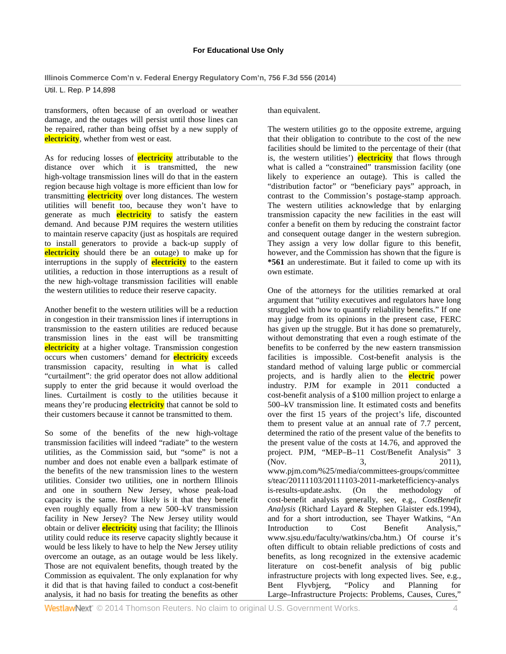Util. L. Rep. P 14,898

transformers, often because of an overload or weather damage, and the outages will persist until those lines can be repaired, rather than being offset by a new supply of **electricity**, whether from west or east.

As for reducing losses of **electricity** attributable to the distance over which it is transmitted, the new high-voltage transmission lines will do that in the eastern region because high voltage is more efficient than low for transmitting **electricity** over long distances. The western utilities will benefit too, because they won't have to generate as much **electricity** to satisfy the eastern demand. And because PJM requires the western utilities to maintain reserve capacity (just as hospitals are required to install generators to provide a back-up supply of **electricity** should there be an outage) to make up for interruptions in the supply of **electricity** to the eastern utilities, a reduction in those interruptions as a result of the new high-voltage transmission facilities will enable the western utilities to reduce their reserve capacity.

Another benefit to the western utilities will be a reduction in congestion in their transmission lines if interruptions in transmission to the eastern utilities are reduced because transmission lines in the east will be transmitting **electricity** at a higher voltage. Transmission congestion occurs when customers' demand for **electricity** exceeds transmission capacity, resulting in what is called "curtailment": the grid operator does not allow additional supply to enter the grid because it would overload the lines. Curtailment is costly to the utilities because it means they're producing **electricity** that cannot be sold to their customers because it cannot be transmitted to them.

So some of the benefits of the new high-voltage transmission facilities will indeed "radiate" to the western utilities, as the Commission said, but "some" is not a number and does not enable even a ballpark estimate of the benefits of the new transmission lines to the western utilities. Consider two utilities, one in northern Illinois and one in southern New Jersey, whose peak-load capacity is the same. How likely is it that they benefit even roughly equally from a new 500–kV transmission facility in New Jersey? The New Jersey utility would obtain or deliver **electricity** using that facility; the Illinois utility could reduce its reserve capacity slightly because it would be less likely to have to help the New Jersey utility overcome an outage, as an outage would be less likely. Those are not equivalent benefits, though treated by the Commission as equivalent. The only explanation for why it did that is that having failed to conduct a cost-benefit analysis, it had no basis for treating the benefits as other

than equivalent.

The western utilities go to the opposite extreme, arguing that their obligation to contribute to the cost of the new facilities should be limited to the percentage of their (that is, the western utilities') **electricity** that flows through what is called a "constrained" transmission facility (one likely to experience an outage). This is called the "distribution factor" or "beneficiary pays" approach, in contrast to the Commission's postage-stamp approach. The western utilities acknowledge that by enlarging transmission capacity the new facilities in the east will confer a benefit on them by reducing the constraint factor and consequent outage danger in the western subregion. They assign a very low dollar figure to this benefit, however, and the Commission has shown that the figure is **\*561** an underestimate. But it failed to come up with its own estimate.

One of the attorneys for the utilities remarked at oral argument that "utility executives and regulators have long struggled with how to quantify reliability benefits." If one may judge from its opinions in the present case, FERC has given up the struggle. But it has done so prematurely, without demonstrating that even a rough estimate of the benefits to be conferred by the new eastern transmission facilities is impossible. Cost-benefit analysis is the standard method of valuing large public or commercial projects, and is hardly alien to the **electric** power industry. PJM for example in 2011 conducted a cost-benefit analysis of a \$100 million project to enlarge a 500–kV transmission line. It estimated costs and benefits over the first 15 years of the project's life, discounted them to present value at an annual rate of 7.7 percent, determined the ratio of the present value of the benefits to the present value of the costs at 14.76, and approved the project. PJM, "MEP–B–11 Cost/Benefit Analysis" 3 (Nov. 3, 2011), www.pjm.com/%25/media/committees-groups/committee s/teac/20111103/20111103-2011-marketefficiency-analys is-results-update.ashx. (On the methodology of cost-benefit analysis generally, see, e.g., *CostBenefit Analysis* (Richard Layard & Stephen Glaister eds.1994), and for a short introduction, see Thayer Watkins, "An Introduction to Cost Benefit Analysis," www.sjsu.edu/faculty/watkins/cba.htm.) Of course it's often difficult to obtain reliable predictions of costs and benefits, as long recognized in the extensive academic literature on cost-benefit analysis of big public infrastructure projects with long expected lives. See, e.g., Bent Flyvbjerg, "Policy and Planning for Large–Infrastructure Projects: Problems, Causes, Cures,"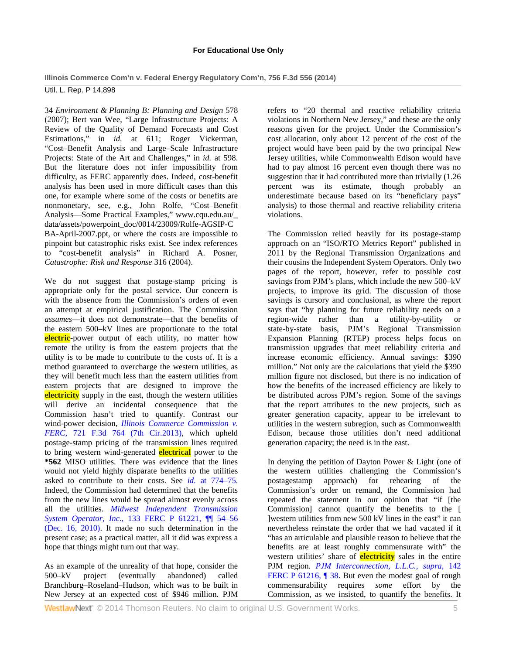Util. L. Rep. P 14,898

34 *Environment & Planning B: Planning and Design* 578 (2007); Bert van Wee, "Large Infrastructure Projects: A Review of the Quality of Demand Forecasts and Cost Estimations," in *id.* at 611; Roger Vickerman, "Cost–Benefit Analysis and Large–Scale Infrastructure Projects: State of the Art and Challenges," in *id.* at 598. But the literature does not infer impossibility from difficulty, as FERC apparently does. Indeed, cost-benefit analysis has been used in more difficult cases than this one, for example where some of the costs or benefits are nonmonetary, see, e.g., John Rolfe, "Cost–Benefit Analysis—Some Practical Examples," www.cqu.edu.au/\_ data/assets/powerpoint\_doc/0014/23009/Rolfe-AGSIP-C BA-April-2007.ppt, or where the costs are impossible to pinpoint but catastrophic risks exist. See index references to "cost-benefit analysis" in Richard A. Posner, *Catastrophe: Risk and Response* 316 (2004).

We do not suggest that postage-stamp pricing is appropriate only for the postal service. Our concern is with the absence from the Commission's orders of even an attempt at empirical justification. The Commission *assumes*—it does not demonstrate—that the benefits of the eastern 500–kV lines are proportionate to the total **electric**-power output of each utility, no matter how remote the utility is from the eastern projects that the utility is to be made to contribute to the costs of. It is a method guaranteed to overcharge the western utilities, as they will benefit much less than the eastern utilities from eastern projects that are designed to improve the **electricity** supply in the east, though the western utilities will derive an incidental consequence that the Commission hasn't tried to quantify. Contrast our wind-power decision, *[Illinois Commerce Commission v.](http://www.westlaw.com/Link/Document/FullText?findType=Y&serNum=2030683986&pubNum=0000506&originationContext=document&vr=3.0&rs=cblt1.0&transitionType=DocumentItem&contextData=(sc.Search))  FERC,* 721 F.3d 764 [\(7th Cir.2013\),](http://www.westlaw.com/Link/Document/FullText?findType=Y&serNum=2030683986&pubNum=0000506&originationContext=document&vr=3.0&rs=cblt1.0&transitionType=DocumentItem&contextData=(sc.Search)) which upheld postage-stamp pricing of the transmission lines required to bring western wind-generated **electrical** power to the **\*562** MISO utilities. There was evidence that the lines would not yield highly disparate benefits to the utilities asked to contribute to their costs. See *id.* [at 774–75.](http://www.westlaw.com/Link/Document/FullText?findType=Y&serNum=2030683986&pubNum=0000506&fi=co_pp_sp_506_774&originationContext=document&vr=3.0&rs=cblt1.0&transitionType=DocumentItem&contextData=(sc.Search)%23co_pp_sp_506_774)  Indeed, the Commission had determined that the benefits from the new lines would be spread almost evenly across all the utilities. *[Midwest Independent Transmission](http://www.westlaw.com/Link/Document/FullText?findType=Y&serNum=2024135699&pubNum=0000920&originationContext=document&vr=3.0&rs=cblt1.0&transitionType=DocumentItem&contextData=(sc.Search))  System Operator, Inc.,* [133 FERC P 61221, ¶¶ 54–56](http://www.westlaw.com/Link/Document/FullText?findType=Y&serNum=2024135699&pubNum=0000920&originationContext=document&vr=3.0&rs=cblt1.0&transitionType=DocumentItem&contextData=(sc.Search))  [\(Dec. 16, 2010\).](http://www.westlaw.com/Link/Document/FullText?findType=Y&serNum=2024135699&pubNum=0000920&originationContext=document&vr=3.0&rs=cblt1.0&transitionType=DocumentItem&contextData=(sc.Search)) It made no such determination in the present case; as a practical matter, all it did was express a hope that things might turn out that way.

As an example of the unreality of that hope, consider the 500–kV project (eventually abandoned) called Branchburg–Roseland–Hudson, which was to be built in New Jersey at an expected cost of \$946 million. PJM

refers to "20 thermal and reactive reliability criteria violations in Northern New Jersey," and these are the only reasons given for the project. Under the Commission's cost allocation, only about 12 percent of the cost of the project would have been paid by the two principal New Jersey utilities, while Commonwealth Edison would have had to pay almost 16 percent even though there was no suggestion that it had contributed more than trivially (1.26 percent was its estimate, though probably an underestimate because based on its "beneficiary pays" analysis) to those thermal and reactive reliability criteria violations.

The Commission relied heavily for its postage-stamp approach on an "ISO/RTO Metrics Report" published in 2011 by the Regional Transmission Organizations and their cousins the Independent System Operators. Only two pages of the report, however, refer to possible cost savings from PJM's plans, which include the new 500–kV projects, to improve its grid. The discussion of those savings is cursory and conclusional, as where the report says that "by planning for future reliability needs on a region-wide rather than a utility-by-utility or state-by-state basis, PJM's Regional Transmission Expansion Planning (RTEP) process helps focus on transmission upgrades that meet reliability criteria and increase economic efficiency. Annual savings: \$390 million." Not only are the calculations that yield the \$390 million figure not disclosed, but there is no indication of how the benefits of the increased efficiency are likely to be distributed across PJM's region. Some of the savings that the report attributes to the new projects, such as greater generation capacity, appear to be irrelevant to utilities in the western subregion, such as Commonwealth Edison, because those utilities don't need additional generation capacity; the need is in the east.

In denying the petition of Dayton Power & Light (one of the western utilities challenging the Commission's<br>postagestamp approach) for rehearing of the postagestamp approach) for rehearing of the Commission's order on remand, the Commission had repeated the statement in our opinion that "if [the Commission] cannot quantify the benefits to the [ ]western utilities from new 500 kV lines in the east" it can nevertheless reinstate the order that we had vacated if it "has an articulable and plausible reason to believe that the benefits are at least roughly commensurate with" the western utilities' share of **electricity** sales in the entire PJM region. *[PJM Interconnection, L.L.C., supra,](http://www.westlaw.com/Link/Document/FullText?findType=Y&serNum=2030222200&pubNum=0000920&originationContext=document&vr=3.0&rs=cblt1.0&transitionType=DocumentItem&contextData=(sc.Search))* 142 [FERC P 61216, ¶ 38.](http://www.westlaw.com/Link/Document/FullText?findType=Y&serNum=2030222200&pubNum=0000920&originationContext=document&vr=3.0&rs=cblt1.0&transitionType=DocumentItem&contextData=(sc.Search)) But even the modest goal of rough commensurability requires *some* effort by the Commission, as we insisted, to quantify the benefits. It

**WestlawNext** © 2014 Thomson Reuters. No claim to original U.S. Government Works. 5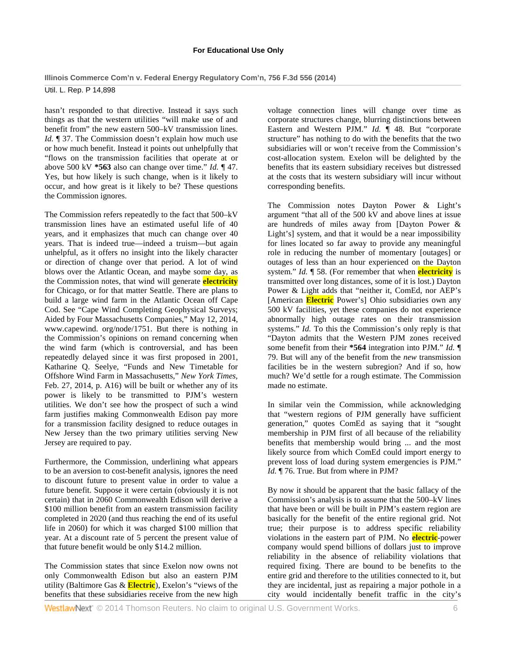Util. L. Rep. P 14,898

hasn't responded to that directive. Instead it says such things as that the western utilities "will make use of and benefit from" the new eastern 500–kV transmission lines. *Id.* **[47]** 37. The Commission doesn't explain how much use or how much benefit. Instead it points out unhelpfully that "flows on the transmission facilities that operate at or above 500 kV **\*563** also can change over time." *Id.* ¶ 47. Yes, but how likely is such change, when is it likely to occur, and how great is it likely to be? These questions the Commission ignores.

The Commission refers repeatedly to the fact that 500–kV transmission lines have an estimated useful life of 40 years, and it emphasizes that much can change over 40 years. That is indeed true—indeed a truism—but again unhelpful, as it offers no insight into the likely character or direction of change over that period. A lot of wind blows over the Atlantic Ocean, and maybe some day, as the Commission notes, that wind will generate **electricity** for Chicago, or for that matter Seattle. There are plans to build a large wind farm in the Atlantic Ocean off Cape Cod. See "Cape Wind Completing Geophysical Surveys; Aided by Four Massachusetts Companies," May 12, 2014, www.capewind. org/node/1751. But there is nothing in the Commission's opinions on remand concerning when the wind farm (which is controversial, and has been repeatedly delayed since it was first proposed in 2001, Katharine Q. Seelye, "Funds and New Timetable for Offshore Wind Farm in Massachusetts," *New York Times,* Feb. 27, 2014, p. A16) will be built or whether any of its power is likely to be transmitted to PJM's western utilities. We don't see how the prospect of such a wind farm justifies making Commonwealth Edison pay more for a transmission facility designed to reduce outages in New Jersey than the two primary utilities serving New Jersey are required to pay.

Furthermore, the Commission, underlining what appears to be an aversion to cost-benefit analysis, ignores the need to discount future to present value in order to value a future benefit. Suppose it were certain (obviously it is not certain) that in 2060 Commonwealth Edison will derive a \$100 million benefit from an eastern transmission facility completed in 2020 (and thus reaching the end of its useful life in 2060) for which it was charged \$100 million that year. At a discount rate of 5 percent the present value of that future benefit would be only \$14.2 million.

The Commission states that since Exelon now owns not only Commonwealth Edison but also an eastern PJM utility (Baltimore Gas & **Electric**), Exelon's "views of the benefits that these subsidiaries receive from the new high

voltage connection lines will change over time as corporate structures change, blurring distinctions between Eastern and Western PJM." *Id.* 148. But "corporate structure" has nothing to do with the benefits that the two subsidiaries will or won't receive from the Commission's cost-allocation system. Exelon will be delighted by the benefits that its eastern subsidiary receives but distressed at the costs that its western subsidiary will incur without corresponding benefits.

The Commission notes Dayton Power & Light's argument "that all of the 500 kV and above lines at issue are hundreds of miles away from [Dayton Power & Light's] system, and that it would be a near impossibility for lines located so far away to provide any meaningful role in reducing the number of momentary [outages] or outages of less than an hour experienced on the Dayton system." *Id.* ¶ 58. (For remember that when **electricity** is transmitted over long distances, some of it is lost.) Dayton Power & Light adds that "neither it, ComEd, nor AEP's [American **Electric** Power's] Ohio subsidiaries own any 500 kV facilities, yet these companies do not experience abnormally high outage rates on their transmission systems." *Id.* To this the Commission's only reply is that "Dayton admits that the Western PJM zones received some benefit from their **\*564** integration into PJM." *Id.* ¶ 79. But will any of the benefit from the *new* transmission facilities be in the western subregion? And if so, how much? We'd settle for a rough estimate. The Commission made no estimate.

In similar vein the Commission, while acknowledging that "western regions of PJM generally have sufficient generation," quotes ComEd as saying that it "sought membership in PJM first of all because of the reliability benefits that membership would bring ... and the most likely source from which ComEd could import energy to prevent loss of load during system emergencies is PJM." *Id.* ¶ 76. True. But from where in PJM?

By now it should be apparent that the basic fallacy of the Commission's analysis is to assume that the 500–kV lines that have been or will be built in PJM's eastern region are basically for the benefit of the entire regional grid. Not true; their purpose is to address specific reliability violations in the eastern part of PJM. No **electric**-power company would spend billions of dollars just to improve reliability in the absence of reliability violations that required fixing. There are bound to be benefits to the entire grid and therefore to the utilities connected to it, but they are incidental, just as repairing a major pothole in a city would incidentally benefit traffic in the city's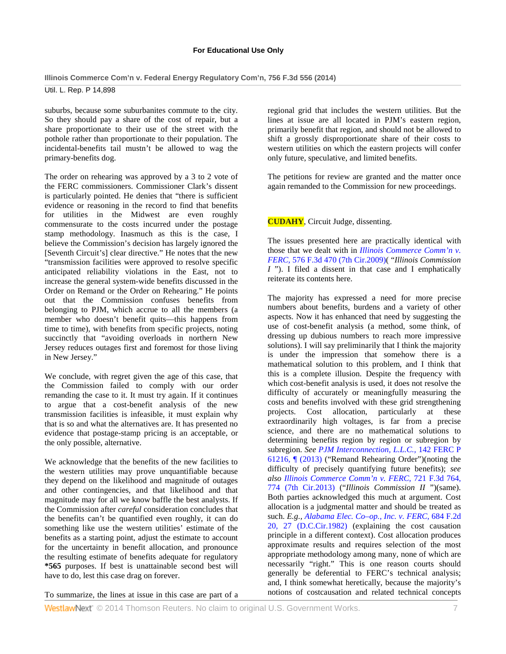Util. L. Rep. P 14,898

suburbs, because some suburbanites commute to the city. So they should pay a share of the cost of repair, but a share proportionate to their use of the street with the pothole rather than proportionate to their population. The incidental-benefits tail mustn't be allowed to wag the primary-benefits dog.

The order on rehearing was approved by a 3 to 2 vote of the FERC commissioners. Commissioner Clark's dissent is particularly pointed. He denies that "there is sufficient evidence or reasoning in the record to find that benefits for utilities in the Midwest are even roughly commensurate to the costs incurred under the postage stamp methodology. Inasmuch as this is the case, I believe the Commission's decision has largely ignored the [Seventh Circuit's] clear directive." He notes that the new "transmission facilities were approved to resolve specific anticipated reliability violations in the East, not to increase the general system-wide benefits discussed in the Order on Remand or the Order on Rehearing." He points out that the Commission confuses benefits from belonging to PJM, which accrue to all the members (a member who doesn't benefit quits—this happens from time to time), with benefits from specific projects, noting succinctly that "avoiding overloads in northern New Jersey reduces outages first and foremost for those living in New Jersey."

We conclude, with regret given the age of this case, that the Commission failed to comply with our order remanding the case to it. It must try again. If it continues to argue that a cost-benefit analysis of the new transmission facilities is infeasible, it must explain why that is so and what the alternatives are. It has presented no evidence that postage-stamp pricing is an acceptable, or the only possible, alternative.

We acknowledge that the benefits of the new facilities to the western utilities may prove unquantifiable because they depend on the likelihood and magnitude of outages and other contingencies, and that likelihood and that magnitude may for all we know baffle the best analysts. If the Commission after *careful* consideration concludes that the benefits can't be quantified even roughly, it can do something like use the western utilities' estimate of the benefits as a starting point, adjust the estimate to account for the uncertainty in benefit allocation, and pronounce the resulting estimate of benefits adequate for regulatory **\*565** purposes. If best is unattainable second best will have to do, lest this case drag on forever.

regional grid that includes the western utilities. But the lines at issue are all located in PJM's eastern region, primarily benefit that region, and should not be allowed to shift a grossly disproportionate share of their costs to western utilities on which the eastern projects will confer only future, speculative, and limited benefits.

The petitions for review are granted and the matter once again remanded to the Commission for new proceedings.

# **[CUDAHY](http://www.westlaw.com/Link/Document/FullText?findType=h&pubNum=176284&cite=0181684701&originatingDoc=I81fec7effccd11e39488c8f438320c70&refType=RQ&originationContext=document&vr=3.0&rs=cblt1.0&transitionType=DocumentItem&contextData=(sc.Search))**, Circuit Judge, dissenting.

The issues presented here are practically identical with those that we dealt with in *[Illinois Commerce Comm'n v.](http://www.westlaw.com/Link/Document/FullText?findType=Y&serNum=2019550254&pubNum=0000506&originationContext=document&vr=3.0&rs=cblt1.0&transitionType=DocumentItem&contextData=(sc.Search))  FERC,* [576 F.3d 470 \(7th Cir.2009\)\(](http://www.westlaw.com/Link/Document/FullText?findType=Y&serNum=2019550254&pubNum=0000506&originationContext=document&vr=3.0&rs=cblt1.0&transitionType=DocumentItem&contextData=(sc.Search)) "*Illinois Commission I* "). I filed a dissent in that case and I emphatically reiterate its contents here.

The majority has expressed a need for more precise numbers about benefits, burdens and a variety of other aspects. Now it has enhanced that need by suggesting the use of cost-benefit analysis (a method, some think, of dressing up dubious numbers to reach more impressive solutions). I will say preliminarily that I think the majority is under the impression that somehow there is a mathematical solution to this problem, and I think that this is a complete illusion. Despite the frequency with which cost-benefit analysis is used, it does not resolve the difficulty of accurately or meaningfully measuring the costs and benefits involved with these grid strengthening projects. Cost allocation, particularly at these extraordinarily high voltages, is far from a precise science, and there are no mathematical solutions to determining benefits region by region or subregion by subregion. *See [PJM Interconnection, L.L.C.,](http://www.westlaw.com/Link/Document/FullText?findType=Y&serNum=2030222200&pubNum=0000920&originationContext=document&vr=3.0&rs=cblt1.0&transitionType=DocumentItem&contextData=(sc.Search))* 142 FERC P [61216, ¶ \(2013\)](http://www.westlaw.com/Link/Document/FullText?findType=Y&serNum=2030222200&pubNum=0000920&originationContext=document&vr=3.0&rs=cblt1.0&transitionType=DocumentItem&contextData=(sc.Search)) ("Remand Rehearing Order")(noting the difficulty of precisely quantifying future benefits); *see also [Illinois Commerce Comm'n v. FERC,](http://www.westlaw.com/Link/Document/FullText?findType=Y&serNum=2030683986&pubNum=0000506&fi=co_pp_sp_506_774&originationContext=document&vr=3.0&rs=cblt1.0&transitionType=DocumentItem&contextData=(sc.Search)%23co_pp_sp_506_774)* 721 F.3d 764, [774 \(7th Cir.2013\)](http://www.westlaw.com/Link/Document/FullText?findType=Y&serNum=2030683986&pubNum=0000506&fi=co_pp_sp_506_774&originationContext=document&vr=3.0&rs=cblt1.0&transitionType=DocumentItem&contextData=(sc.Search)%23co_pp_sp_506_774) ("*Illinois Commission II* ")(same). Both parties acknowledged this much at argument. Cost allocation is a judgmental matter and should be treated as such. *E.g.[, Alabama Elec. Co–op., Inc. v. FERC,](http://www.westlaw.com/Link/Document/FullText?findType=Y&serNum=1982133928&pubNum=0000350&fi=co_pp_sp_350_27&originationContext=document&vr=3.0&rs=cblt1.0&transitionType=DocumentItem&contextData=(sc.Search)%23co_pp_sp_350_27)* 684 F.2d [20, 27 \(D.C.Cir.1982\)](http://www.westlaw.com/Link/Document/FullText?findType=Y&serNum=1982133928&pubNum=0000350&fi=co_pp_sp_350_27&originationContext=document&vr=3.0&rs=cblt1.0&transitionType=DocumentItem&contextData=(sc.Search)%23co_pp_sp_350_27) (explaining the cost causation principle in a different context). Cost allocation produces approximate results and requires selection of the most appropriate methodology among many, none of which are necessarily "right." This is one reason courts should generally be deferential to FERC's technical analysis; and, I think somewhat heretically, because the majority's notions of costcausation and related technical concepts

To summarize, the lines at issue in this case are part of a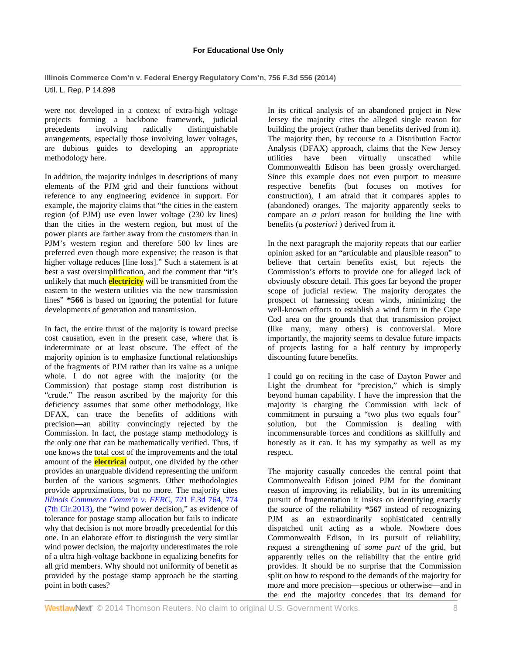Util. L. Rep. P 14,898

were not developed in a context of extra-high voltage projects forming a backbone framework, judicial precedents involving radically distinguishable arrangements, especially those involving lower voltages, are dubious guides to developing an appropriate methodology here.

In addition, the majority indulges in descriptions of many elements of the PJM grid and their functions without reference to any engineering evidence in support. For example, the majority claims that "the cities in the eastern region (of PJM) use even lower voltage (230 kv lines) than the cities in the western region, but most of the power plants are farther away from the customers than in PJM's western region and therefore 500 kv lines are preferred even though more expensive; the reason is that higher voltage reduces [line loss]." Such a statement is at best a vast oversimplification, and the comment that "it's unlikely that much **electricity** will be transmitted from the eastern to the western utilities via the new transmission lines" **\*566** is based on ignoring the potential for future developments of generation and transmission.

In fact, the entire thrust of the majority is toward precise cost causation, even in the present case, where that is indeterminate or at least obscure. The effect of the majority opinion is to emphasize functional relationships of the fragments of PJM rather than its value as a unique whole. I do not agree with the majority (or the Commission) that postage stamp cost distribution is "crude." The reason ascribed by the majority for this deficiency assumes that some other methodology, like DFAX, can trace the benefits of additions with precision—an ability convincingly rejected by the Commission. In fact, the postage stamp methodology is the only one that can be mathematically verified. Thus, if one knows the total cost of the improvements and the total amount of the **electrical** output, one divided by the other provides an unarguable dividend representing the uniform burden of the various segments. Other methodologies provide approximations, but no more. The majority cites *[Illinois Commerce Comm'n v. FERC,](http://www.westlaw.com/Link/Document/FullText?findType=Y&serNum=2030683986&pubNum=0000506&fi=co_pp_sp_506_774&originationContext=document&vr=3.0&rs=cblt1.0&transitionType=DocumentItem&contextData=(sc.Search)%23co_pp_sp_506_774)* 721 F.3d 764, 774 [\(7th Cir.2013\),](http://www.westlaw.com/Link/Document/FullText?findType=Y&serNum=2030683986&pubNum=0000506&fi=co_pp_sp_506_774&originationContext=document&vr=3.0&rs=cblt1.0&transitionType=DocumentItem&contextData=(sc.Search)%23co_pp_sp_506_774) the "wind power decision," as evidence of tolerance for postage stamp allocation but fails to indicate why that decision is not more broadly precedential for this one. In an elaborate effort to distinguish the very similar wind power decision, the majority underestimates the role of a ultra high-voltage backbone in equalizing benefits for all grid members. Why should not uniformity of benefit as provided by the postage stamp approach be the starting point in both cases?

In its critical analysis of an abandoned project in New Jersey the majority cites the alleged single reason for building the project (rather than benefits derived from it). The majority then, by recourse to a Distribution Factor Analysis (DFAX) approach, claims that the New Jersey utilities have been virtually unscathed while Commonwealth Edison has been grossly overcharged. Since this example does not even purport to measure respective benefits (but focuses on motives for construction), I am afraid that it compares apples to (abandoned) oranges. The majority apparently seeks to compare an *a priori* reason for building the line with benefits (*a posteriori* ) derived from it.

In the next paragraph the majority repeats that our earlier opinion asked for an "articulable and plausible reason" to believe that certain benefits exist, but rejects the Commission's efforts to provide one for alleged lack of obviously obscure detail. This goes far beyond the proper scope of judicial review. The majority derogates the prospect of harnessing ocean winds, minimizing the well-known efforts to establish a wind farm in the Cape Cod area on the grounds that that transmission project (like many, many others) is controversial. More importantly, the majority seems to devalue future impacts of projects lasting for a half century by improperly discounting future benefits.

I could go on reciting in the case of Dayton Power and Light the drumbeat for "precision," which is simply beyond human capability. I have the impression that the majority is charging the Commission with lack of commitment in pursuing a "two plus two equals four" solution, but the Commission is dealing with incommensurable forces and conditions as skillfully and honestly as it can. It has my sympathy as well as my respect.

The majority casually concedes the central point that Commonwealth Edison joined PJM for the dominant reason of improving its reliability, but in its unremitting pursuit of fragmentation it insists on identifying exactly the source of the reliability **\*567** instead of recognizing PJM as an extraordinarily sophisticated centrally dispatched unit acting as a whole. Nowhere does Commonwealth Edison, in its pursuit of reliability, request a strengthening of *some part* of the grid, but apparently relies on the reliability that the entire grid provides. It should be no surprise that the Commission split on how to respond to the demands of the majority for more and more precision—specious or otherwise—and in the end the majority concedes that its demand for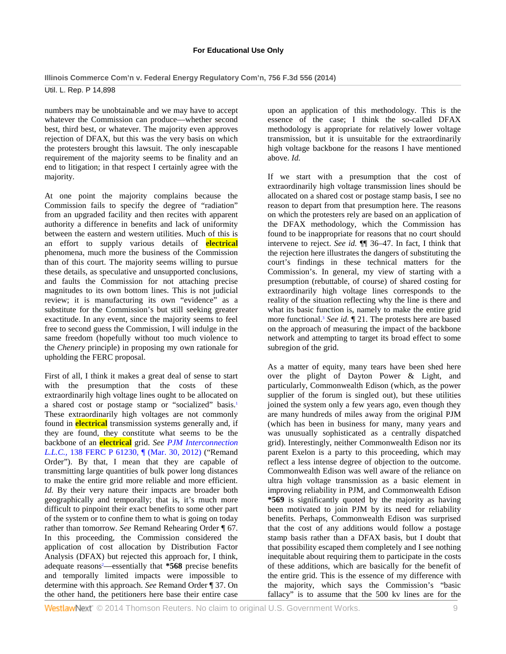Util. L. Rep. P 14,898

numbers may be unobtainable and we may have to accept whatever the Commission can produce—whether second best, third best, or whatever. The majority even approves rejection of DFAX, but this was the very basis on which the protesters brought this lawsuit. The only inescapable requirement of the majority seems to be finality and an end to litigation; in that respect I certainly agree with the majority.

At one point the majority complains because the Commission fails to specify the degree of "radiation" from an upgraded facility and then recites with apparent authority a difference in benefits and lack of uniformity between the eastern and western utilities. Much of this is an effort to supply various details of **electrical** phenomena, much more the business of the Commission than of this court. The majority seems willing to pursue these details, as speculative and unsupported conclusions, and faults the Commission for not attaching precise magnitudes to its own bottom lines. This is not judicial review; it is manufacturing its own "evidence" as a substitute for the Commission's but still seeking greater exactitude. In any event, since the majority seems to feel free to second guess the Commission, I will indulge in the same freedom (hopefully without too much violence to the *Chenery* principle) in proposing my own rationale for upholding the FERC proposal.

First of all, I think it makes a great deal of sense to start with the presumption that the costs of these extraordinarily high voltage lines ought to be allocated on a shared cost or postage stamp or "socialized" basis.1 These extraordinarily high voltages are not commonly found in **electrical** transmission systems generally and, if they are found, they constitute what seems to be the backbone of an **electrical** grid. *See [PJM Interconnection](http://www.westlaw.com/Link/Document/FullText?findType=Y&serNum=2027413487&pubNum=0000920&originationContext=document&vr=3.0&rs=cblt1.0&transitionType=DocumentItem&contextData=(sc.Search))  L.L.C.,* [138 FERC P 61230, ¶ \(Mar. 30, 2012\)](http://www.westlaw.com/Link/Document/FullText?findType=Y&serNum=2027413487&pubNum=0000920&originationContext=document&vr=3.0&rs=cblt1.0&transitionType=DocumentItem&contextData=(sc.Search)) ("Remand Order"). By that, I mean that they are capable of transmitting large quantities of bulk power long distances to make the entire grid more reliable and more efficient. *Id.* By their very nature their impacts are broader both geographically and temporally; that is, it's much more difficult to pinpoint their exact benefits to some other part of the system or to confine them to what is going on today rather than tomorrow. *See* Remand Rehearing Order ¶ 67. In this proceeding, the Commission considered the application of cost allocation by Distribution Factor Analysis (DFAX) but rejected this approach for, I think, adequate reasons<sup>2</sup>—essentially that \*568 precise benefits and temporally limited impacts were impossible to determine with this approach. *See* Remand Order ¶ 37. On the other hand, the petitioners here base their entire case

upon an application of this methodology. This is the essence of the case; I think the so-called DFAX methodology is appropriate for relatively lower voltage transmission, but it is unsuitable for the extraordinarily high voltage backbone for the reasons I have mentioned above. *Id.*

If we start with a presumption that the cost of extraordinarily high voltage transmission lines should be allocated on a shared cost or postage stamp basis, I see no reason to depart from that presumption here. The reasons on which the protesters rely are based on an application of the DFAX methodology, which the Commission has found to be inappropriate for reasons that no court should intervene to reject. *See id.* ¶¶ 36–47. In fact, I think that the rejection here illustrates the dangers of substituting the court's findings in these technical matters for the Commission's. In general, my view of starting with a presumption (rebuttable, of course) of shared costing for extraordinarily high voltage lines corresponds to the reality of the situation reflecting why the line is there and what its basic function is, namely to make the entire grid more functional.3 *See id.* ¶ 21. The protests here are based on the approach of measuring the impact of the backbone network and attempting to target its broad effect to some subregion of the grid.

As a matter of equity, many tears have been shed here over the plight of Dayton Power & Light, and particularly, Commonwealth Edison (which, as the power supplier of the forum is singled out), but these utilities joined the system only a few years ago, even though they are many hundreds of miles away from the original PJM (which has been in business for many, many years and was unusually sophisticated as a centrally dispatched grid). Interestingly, neither Commonwealth Edison nor its parent Exelon is a party to this proceeding, which may reflect a less intense degree of objection to the outcome. Commonwealth Edison was well aware of the reliance on ultra high voltage transmission as a basic element in improving reliability in PJM, and Commonwealth Edison **\*569** is significantly quoted by the majority as having been motivated to join PJM by its need for reliability benefits. Perhaps, Commonwealth Edison was surprised that the cost of any additions would follow a postage stamp basis rather than a DFAX basis, but I doubt that that possibility escaped them completely and I see nothing inequitable about requiring them to participate in the costs of these additions, which are basically for the benefit of the entire grid. This is the essence of my difference with the majority, which says the Commission's "basic fallacy" is to assume that the 500 kv lines are for the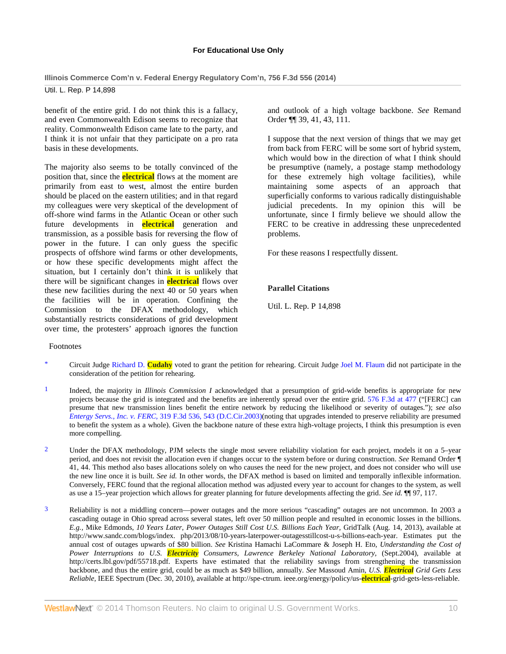Util. L. Rep. P 14,898

benefit of the entire grid. I do not think this is a fallacy, and even Commonwealth Edison seems to recognize that reality. Commonwealth Edison came late to the party, and I think it is not unfair that they participate on a pro rata basis in these developments.

The majority also seems to be totally convinced of the position that, since the **electrical** flows at the moment are primarily from east to west, almost the entire burden should be placed on the eastern utilities; and in that regard my colleagues were very skeptical of the development of off-shore wind farms in the Atlantic Ocean or other such future developments in **electrical** generation and transmission, as a possible basis for reversing the flow of power in the future. I can only guess the specific prospects of offshore wind farms or other developments, or how these specific developments might affect the situation, but I certainly don't think it is unlikely that there will be significant changes in **electrical** flows over these new facilities during the next  $\overline{40}$  or  $\overline{50}$  years when the facilities will be in operation. Confining the Commission to the DFAX methodology, which substantially restricts considerations of grid development over time, the protesters' approach ignores the function

and outlook of a high voltage backbone. *See* Remand Order ¶¶ 39, 41, 43, 111.

I suppose that the next version of things that we may get from back from FERC will be some sort of hybrid system, which would bow in the direction of what I think should be presumptive (namely, a postage stamp methodology for these extremely high voltage facilities), while maintaining some aspects of an approach that superficially conforms to various radically distinguishable judicial precedents. In my opinion this will be unfortunate, since I firmly believe we should allow the FERC to be creative in addressing these unprecedented problems.

For these reasons I respectfully dissent.

# **Parallel Citations**

Util. L. Rep. P 14,898

#### Footnotes

- \* Circuit Judge [Richard D.](http://www.westlaw.com/Link/Document/FullText?findType=h&pubNum=176284&cite=0181684701&originatingDoc=I81fec7effccd11e39488c8f438320c70&refType=RQ&originationContext=document&vr=3.0&rs=cblt1.0&transitionType=DocumentItem&contextData=(sc.Search)) **Cudahy** voted to grant the petition for rehearing. Circuit Judge [Joel M. Flaum](http://www.westlaw.com/Link/Document/FullText?findType=h&pubNum=176284&cite=0233857101&originatingDoc=I81fec7effccd11e39488c8f438320c70&refType=RQ&originationContext=document&vr=3.0&rs=cblt1.0&transitionType=DocumentItem&contextData=(sc.Search)) did not participate in the consideration of the petition for rehearing.
- 1 Indeed, the majority in *Illinois Commission I* acknowledged that a presumption of grid-wide benefits is appropriate for new projects because the grid is integrated and the benefits are inherently spread over the entire grid. [576 F.3d at 477](http://www.westlaw.com/Link/Document/FullText?findType=Y&serNum=2019550254&pubNum=0000506&fi=co_pp_sp_506_477&originationContext=document&vr=3.0&rs=cblt1.0&transitionType=DocumentItem&contextData=(sc.Search)%23co_pp_sp_506_477) ("[FERC] can presume that new transmission lines benefit the entire network by reducing the likelihood or severity of outages."); *see also Entergy Servs., Inc. v. FERC,* [319 F.3d 536, 543 \(D.C.Cir.2003\)\(](http://www.westlaw.com/Link/Document/FullText?findType=Y&serNum=2003148873&pubNum=0000506&fi=co_pp_sp_506_543&originationContext=document&vr=3.0&rs=cblt1.0&transitionType=DocumentItem&contextData=(sc.Search)%23co_pp_sp_506_543)noting that upgrades intended to preserve reliability are presumed to benefit the system as a whole). Given the backbone nature of these extra high-voltage projects, I think this presumption is even more compelling.
- 2 Under the DFAX methodology, PJM selects the single most severe reliability violation for each project, models it on a 5–year period, and does not revisit the allocation even if changes occur to the system before or during construction. *See* Remand Order ¶ 41, 44. This method also bases allocations solely on who causes the need for the new project, and does not consider who will use the new line once it is built. *See id.* In other words, the DFAX method is based on limited and temporally inflexible information. Conversely, FERC found that the regional allocation method was adjusted every year to account for changes to the system, as well as use a 15–year projection which allows for greater planning for future developments affecting the grid. *See id.* ¶¶ 97, 117.
- 3 Reliability is not a middling concern—power outages and the more serious "cascading" outages are not uncommon. In 2003 a cascading outage in Ohio spread across several states, left over 50 million people and resulted in economic losses in the billions. *E.g.,* Mike Edmonds, *10 Years Later, Power Outages Still Cost U.S. Billions Each Year,* GridTalk (Aug. 14, 2013), available at http://www.sandc.com/blogs/index. php/2013/08/10-years-laterpower-outagesstillcost-u-s-billions-each-year. Estimates put the annual cost of outages upwards of \$80 billion. *See* Kristina Hamachi LaCommare & Joseph H. Eto, *Understanding the Cost of Power Interruptions to U.S. Electricity Consumers, Lawrence Berkeley National Laboratory,* (Sept.2004), available at http://certs.lbl.gov/pdf/55718.pdf. Experts have estimated that the reliability savings from strengthening the transmission backbone, and thus the entire grid, could be as much as \$49 billion, annually. *See* Massoud Amin, *U.S. Electrical Grid Gets Less Reliable,* IEEE Spectrum (Dec. 30, 2010), available at http://spe-ctrum. ieee.org/energy/policy/us-**electrical**-grid-gets-less-reliable.